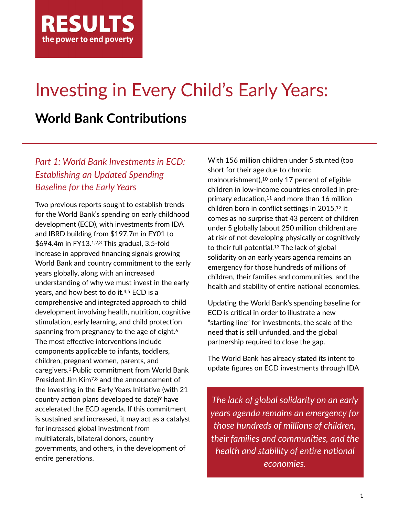

# Investing in Every Child's Early Years:

# **World Bank Contributions**

# *Part 1: World Bank Investments in ECD: Establishing an Updated Spending Baseline for the Early Years*

Two previous reports sought to establish trends for the World Bank's spending on early childhood development (ECD), with investments from IDA and IBRD building from \$197.7m in FY01 to \$694.4m in FY13.1,2,3 This gradual, 3.5-fold increase in approved financing signals growing World Bank and country commitment to the early years globally, along with an increased understanding of why we must invest in the early years, and how best to do it.4,5 ECD is a comprehensive and integrated approach to child development involving health, nutrition, cognitive stimulation, early learning, and child protection spanning from pregnancy to the age of eight.<sup>6</sup> The most effective interventions include components applicable to infants, toddlers, children, pregnant women, parents, and caregivers.1 Public commitment from World Bank President Jim Kim7,8 and the announcement of the Investing in the Early Years Initiative (with 21 country action plans developed to date)<sup>9</sup> have accelerated the ECD agenda. If this commitment is sustained and increased, it may act as a catalyst for increased global investment from multilaterals, bilateral donors, country governments, and others, in the development of entire generations.

With 156 million children under 5 stunted (too short for their age due to chronic malnourishment),10 only 17 percent of eligible children in low-income countries enrolled in preprimary education, $11$  and more than 16 million children born in conflict settings in 2015,<sup>12</sup> it comes as no surprise that 43 percent of children under 5 globally (about 250 million children) are at risk of not developing physically or cognitively to their full potential.<sup>13</sup> The lack of global solidarity on an early years agenda remains an emergency for those hundreds of millions of children, their families and communities, and the health and stability of entire national economies.

Updating the World Bank's spending baseline for ECD is critical in order to illustrate a new "starting line" for investments, the scale of the need that is still unfunded, and the global partnership required to close the gap.

The World Bank has already stated its intent to update figures on ECD investments through IDA

*The lack of global solidarity on an early years agenda remains an emergency for those hundreds of millions of children, their families and communiEes, and the health and stability of entire national economies.*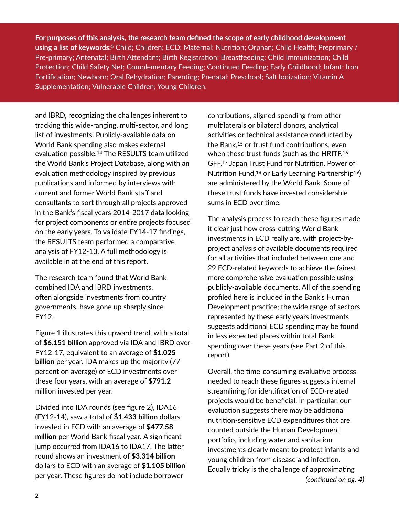**For purposes of this analysis, the research team defined the scope of early childhood development using a list of keywords:**<sup>5</sup> Child; Children; ECD; Maternal; Nutrition; Orphan; Child Health; Preprimary / Pre-primary; Antenatal; Birth Attendant; Birth Registration; Breastfeeding; Child Immunization; Child Protection; Child Safety Net; Complementary Feeding; Continued Feeding; Early Childhood; Infant; Iron Fortification; Newborn; Oral Rehydration; Parenting; Prenatal; Preschool; Salt Iodization; Vitamin A Supplementation; Vulnerable Children; Young Children.

and IBRD, recognizing the challenges inherent to tracking this wide-ranging, multi-sector, and long list of investments. Publicly-available data on World Bank spending also makes external evaluation possible.<sup>14</sup> The RESULTS team utilized the World Bank's Project Database, along with an evaluation methodology inspired by previous publications and informed by interviews with current and former World Bank staff and consultants to sort through all projects approved in the Bank's fiscal years 2014-2017 data looking for project components or entire projects focused on the early years. To validate FY14-17 findings, the RESULTS team performed a comparative analysis of FY12-13. A full methodology is available in at the end of this report.

The research team found that World Bank combined IDA and IBRD investments, often alongside investments from country governments, have gone up sharply since FY12.

Figure 1 illustrates this upward trend, with a total of **\$6.151 billion** approved via IDA and IBRD over FY12-17, equivalent to an average of **\$1.025 billion** per year. IDA makes up the majority (77 percent on average) of ECD investments over these four years, with an average of **\$791.2**  million invested per year.

Divided into IDA rounds (see figure 2), IDA16 (FY12-14), saw a total of **\$1.433 billion** dollars invested in ECD with an average of **\$477.58 million** per World Bank fiscal year. A significant jump occurred from IDA16 to IDA17. The latter round shows an investment of **\$3.314 billion**  dollars to ECD with an average of **\$1.105 billion**  per year. These figures do not include borrower

contributions, aligned spending from other multilaterals or bilateral donors, analytical activities or technical assistance conducted by the Bank,<sup>15</sup> or trust fund contributions, even when those trust funds (such as the HRITF,<sup>16</sup> GFF,<sup>17</sup> Japan Trust Fund for Nutrition, Power of Nutrition Fund,<sup>18</sup> or Early Learning Partnership<sup>19</sup>) are administered by the World Bank. Some of these trust funds have invested considerable sums in ECD over time.

The analysis process to reach these figures made it clear just how cross-cutting World Bank investments in ECD really are, with project-byproject analysis of available documents required for all activities that included between one and 29 ECD-related keywords to achieve the fairest, more comprehensive evaluation possible using publicly-available documents. All of the spending profiled here is included in the Bank's Human Development practice; the wide range of sectors represented by these early years investments suggests additional ECD spending may be found in less expected places within total Bank spending over these years (see Part 2 of this report).

Overall, the time-consuming evaluative process needed to reach these figures suggests internal streamlining for identification of ECD-related projects would be beneficial. In particular, our evaluation suggests there may be additional nutrition-sensitive ECD expenditures that are counted outside the Human Development portfolio, including water and sanitation investments clearly meant to protect infants and young children from disease and infection. Equally tricky is the challenge of approximating

*(conEnued on pg. 4)*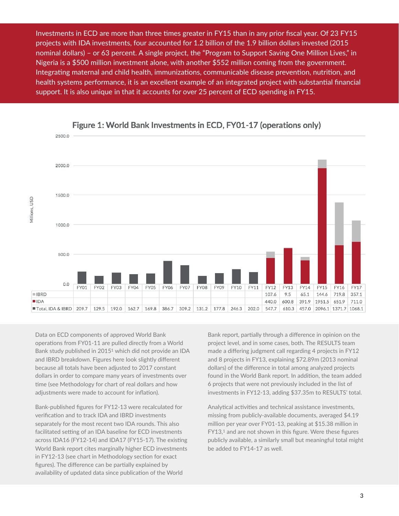Investments in ECD are more than three times greater in FY15 than in any prior fiscal year. Of 23 FY15 projects with IDA investments, four accounted for 1.2 billion of the 1.9 billion dollars invested (2015 nominal dollars) – or 63 percent. A single project, the "Program to Support Saving One Million Lives," in Nigeria is a \$500 million investment alone, with another \$552 million coming from the government. Integrating maternal and child health, immunizations, communicable disease prevention, nutrition, and health systems performance, it is an excellent example of an integrated project with substantial financial support. It is also unique in that it accounts for over 25 percent of ECD spending in FY15.



#### Figure 1: World Bank Investments in ECD, FY01-17 (operations only)

Data on ECD components of approved World Bank operations from FY01-11 are pulled directly from a World Bank study published in 20151 which did not provide an IDA and IBRD breakdown. Figures here look slightly different because all totals have been adjusted to 2017 constant dollars in order to compare many years of investments over time (see Methodology for chart of real dollars and how adjustments were made to account for inflation).

Bank-published figures for FY12-13 were recalculated for verification and to track IDA and IBRD investments separately for the most recent two IDA rounds. This also facilitated setting of an IDA baseline for ECD investments across IDA16 (FY12-14) and IDA17 (FY15-17). The existing World Bank report cites marginally higher ECD investments in FY12-13 (see chart in Methodology section for exact figures). The difference can be partially explained by availability of updated data since publication of the World

Bank report, partially through a difference in opinion on the project level, and in some cases, both. The RESULTS team made a differing judgment call regarding 4 projects in FY12 and 8 projects in FY13, explaining \$72.89m (2013 nominal dollars) of the difference in total among analyzed projects found in the World Bank report. In addition, the team added 6 projects that were not previously included in the list of investments in FY12-13, adding \$37.35m to RESULTS' total.

Analytical activities and technical assistance investments, missing from publicly-available documents, averaged \$4.19 million per year over FY01-13, peaking at \$15.38 million in FY13,<sup>1</sup> and are not shown in this figure. Were these figures publicly available, a similarly small but meaningful total might be added to FY14-17 as well.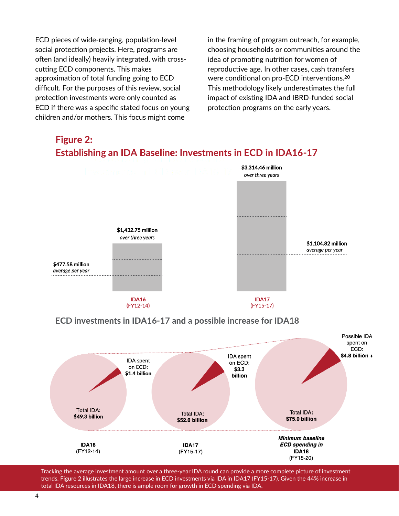ECD pieces of wide-ranging, population-level social protection projects. Here, programs are often (and ideally) heavily integrated, with crosscutting ECD components. This makes approximation of total funding going to ECD difficult. For the purposes of this review, social protection investments were only counted as ECD if there was a specific stated focus on young children and/or mothers. This focus might come

in the framing of program outreach, for example, choosing households or communities around the idea of promoting nutrition for women of reproductive age. In other cases, cash transfers were conditional on pro-ECD interventions.<sup>20</sup> This methodology likely underestimates the full impact of existing IDA and IBRD-funded social protection programs on the early years.



# **Figure 2:**

Tracking the average investment amount over a three-year IDA round can provide a more complete picture of investment trends. Figure 2 illustrates the large increase in ECD investments via IDA in IDA17 (FY15-17). Given the 44% increase in total IDA resources in IDA18, there is ample room for growth in ECD spending via IDA.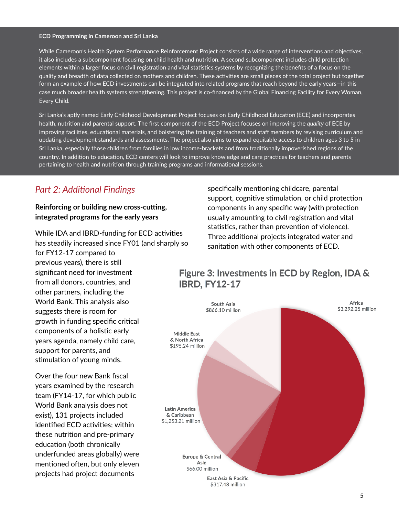#### **ECD Programming in Cameroon and Sri Lanka**

While Cameroon's Health System Performance Reinforcement Project consists of a wide range of interventions and objectives, it also includes a subcomponent focusing on child health and nutrition. A second subcomponent includes child protection elements within a larger focus on civil registration and vital statistics systems by recognizing the benefits of a focus on the quality and breadth of data collected on mothers and children. These activities are small pieces of the total project but together form an example of how ECD investments can be integrated into related programs that reach beyond the early years—in this case much broader health systems strengthening. This project is co-financed by the Global Financing Facility for Every Woman, Every Child.

Sri Lanka's aptly named Early Childhood Development Project focuses on Early Childhood Education (ECE) and incorporates health, nutrition and parental support. The first component of the ECD Project focuses on improving the *quality* of ECE by improving facilities, educational materials, and bolstering the training of teachers and staff members by revising curriculum and updating development standards and assessments. The project also aims to expand equitable access to children ages 3 to 5 in Sri Lanka, especially those children from families in low income-brackets and from traditionally impoverished regions of the country. In addition to education, ECD centers will look to improve knowledge and care practices for teachers and parents pertaining to health and nutrition through training programs and informational sessions.

## **Part 2: Additional Findings**

#### **Reinforcing or building new cross-cutting, integrated programs for the early years**

While IDA and IBRD-funding for ECD activities has steadily increased since FY01 (and sharply so for FY12-17 compared to previous years), there is still significant need for investment from all donors, countries, and other partners, including the World Bank. This analysis also suggests there is room for growth in funding specific critical components of a holistic early years agenda, namely child care, support for parents, and stimulation of young minds.

Over the four new Bank fiscal years examined by the research team (FY14-17, for which public World Bank analysis does not exist), 131 projects included identified ECD activities; within these nutrition and pre-primary education (both chronically underfunded areas globally) were mentioned often, but only eleven projects had project documents

specifically mentioning childcare, parental support, cognitive stimulation, or child protection components in any specific way (with protection usually amounting to civil registration and vital statistics, rather than prevention of violence). Three additional projects integrated water and sanitation with other components of ECD.

## Figure 3: Investments in ECD by Region, IDA & **IBRD. FY12-17**

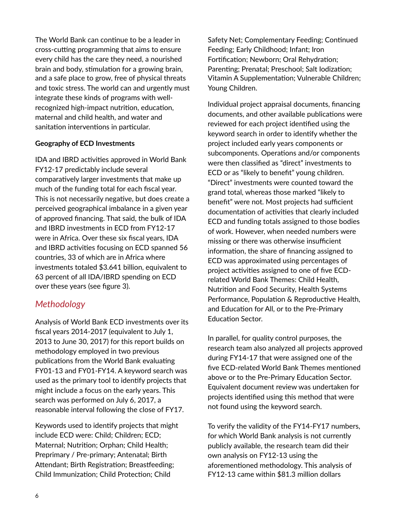The World Bank can continue to be a leader in cross-cutting programming that aims to ensure every child has the care they need, a nourished brain and body, stimulation for a growing brain, and a safe place to grow, free of physical threats and toxic stress. The world can and urgently must integrate these kinds of programs with wellrecognized high-impact nutrition, education, maternal and child health, and water and sanitation interventions in particular.

#### **Geography of ECD Investments**

IDA and IBRD activities approved in World Bank FY12-17 predictably include several comparatively larger investments that make up much of the funding total for each fiscal year. This is not necessarily negative, but does create a perceived geographical imbalance in a given year of approved financing. That said, the bulk of IDA and IBRD investments in ECD from FY12-17 were in Africa. Over these six fiscal years, IDA and IBRD activities focusing on ECD spanned 56 countries, 33 of which are in Africa where investments totaled \$3.641 billion, equivalent to 63 percent of all IDA/IBRD spending on ECD over these years (see figure 3).

### *Methodology*

Analysis of World Bank ECD investments over its fiscal years 2014-2017 (equivalent to July 1, 2013 to June 30, 2017) for this report builds on methodology employed in two previous publications from the World Bank evaluating FY01-13 and FY01-FY14. A keyword search was used as the primary tool to identify projects that might include a focus on the early years. This search was performed on July 6, 2017, a reasonable interval following the close of FY17.

Keywords used to identify projects that might include ECD were: Child; Children; ECD; Maternal; Nutrition; Orphan; Child Health; Preprimary / Pre-primary; Antenatal; Birth Attendant; Birth Registration; Breastfeeding; Child Immunization; Child Protection; Child

Safety Net; Complementary Feeding; Continued Feeding; Early Childhood; Infant; Iron Fortification; Newborn; Oral Rehydration; Parenting; Prenatal; Preschool; Salt Iodization; Vitamin A Supplementation; Vulnerable Children; Young Children.

Individual project appraisal documents, financing documents, and other available publications were reviewed for each project identified using the keyword search in order to identify whether the project included early years components or subcomponents. Operations and/or components were then classified as "direct" investments to ECD or as "likely to benefit" young children. "Direct" investments were counted toward the grand total, whereas those marked "likely to benefit" were not. Most projects had sufficient documentation of activities that clearly included ECD and funding totals assigned to those bodies of work. However, when needed numbers were missing or there was otherwise insufficient information, the share of financing assigned to ECD was approximated using percentages of project activities assigned to one of five ECDrelated World Bank Themes: Child Health, Nutrition and Food Security, Health Systems Performance, Population & Reproductive Health, and Education for All, or to the Pre-Primary Education Sector.

In parallel, for quality control purposes, the research team also analyzed all projects approved during FY14-17 that were assigned one of the five ECD-related World Bank Themes mentioned above or to the Pre-Primary Education Sector. Equivalent document review was undertaken for projects identified using this method that were not found using the keyword search.

To verify the validity of the FY14-FY17 numbers, for which World Bank analysis is not currently publicly available, the research team did their own analysis on FY12-13 using the aforementioned methodology. This analysis of FY12-13 came within \$81.3 million dollars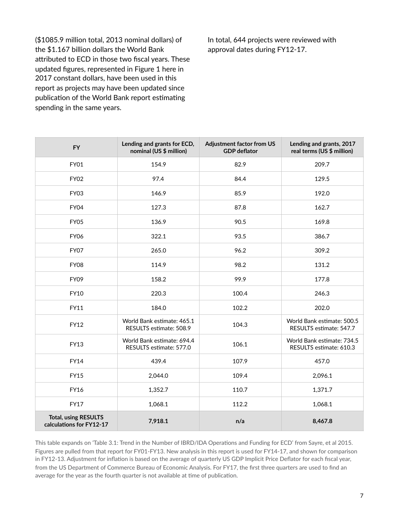(\$1085.9 million total, 2013 nominal dollars) of the \$1.167 billion dollars the World Bank attributed to ECD in those two fiscal years. These updated figures, represented in Figure 1 here in 2017 constant dollars, have been used in this report as projects may have been updated since publication of the World Bank report estimating spending in the same years.

In total, 644 projects were reviewed with approval dates during FY12-17.

| <b>FY</b>                                               | Lending and grants for ECD,<br>nominal (US \$ million) | <b>Adjustment factor from US</b><br><b>GDP</b> deflator | Lending and grants, 2017<br>real terms (US \$ million) |
|---------------------------------------------------------|--------------------------------------------------------|---------------------------------------------------------|--------------------------------------------------------|
| <b>FY01</b>                                             | 154.9                                                  | 82.9                                                    | 209.7                                                  |
| <b>FY02</b>                                             | 97.4                                                   | 84.4                                                    | 129.5                                                  |
| FY03                                                    | 146.9                                                  | 85.9                                                    | 192.0                                                  |
| FY04                                                    | 127.3                                                  | 87.8                                                    | 162.7                                                  |
| <b>FY05</b>                                             | 136.9                                                  | 90.5                                                    | 169.8                                                  |
| <b>FY06</b>                                             | 322.1                                                  | 93.5                                                    | 386.7                                                  |
| FY07                                                    | 265.0                                                  | 96.2                                                    | 309.2                                                  |
| <b>FY08</b>                                             | 114.9                                                  | 98.2                                                    | 131.2                                                  |
| FY09                                                    | 158.2                                                  | 99.9                                                    | 177.8                                                  |
| <b>FY10</b>                                             | 220.3                                                  | 100.4                                                   | 246.3                                                  |
| FY11                                                    | 184.0                                                  | 102.2                                                   | 202.0                                                  |
| <b>FY12</b>                                             | World Bank estimate: 465.1<br>RESULTS estimate: 508.9  | 104.3                                                   | World Bank estimate: 500.5<br>RESULTS estimate: 547.7  |
| FY13                                                    | World Bank estimate: 694.4<br>RESULTS estimate: 577.0  | 106.1                                                   | World Bank estimate: 734.5<br>RESULTS estimate: 610.3  |
| <b>FY14</b>                                             | 439.4                                                  | 107.9                                                   | 457.0                                                  |
| <b>FY15</b>                                             | 2,044.0                                                | 109.4                                                   | 2,096.1                                                |
| <b>FY16</b>                                             | 1,352.7                                                | 110.7                                                   | 1,371.7                                                |
| <b>FY17</b>                                             | 1,068.1                                                | 112.2                                                   | 1,068.1                                                |
| <b>Total, using RESULTS</b><br>calculations for FY12-17 | 7,918.1                                                | n/a                                                     | 8,467.8                                                |

This table expands on 'Table 3.1: Trend in the Number of IBRD/IDA Operations and Funding for ECD' from Sayre, et al 2015. Figures are pulled from that report for FY01-FY13. New analysis in this report is used for FY14-17, and shown for comparison in FY12-13. Adjustment for inflation is based on the average of quarterly US GDP Implicit Price Deflator for each fiscal year, from the US Department of Commerce Bureau of Economic Analysis. For FY17, the first three quarters are used to find an average for the year as the fourth quarter is not available at time of publication.